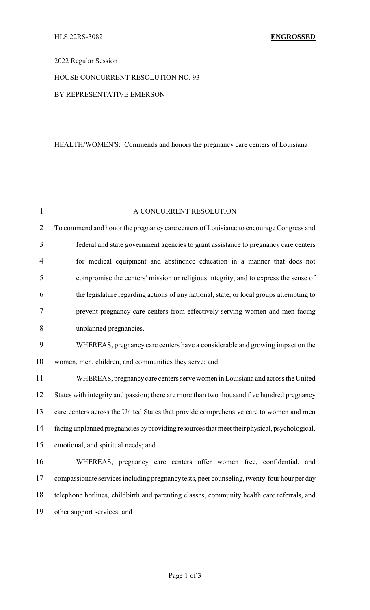## 2022 Regular Session

# HOUSE CONCURRENT RESOLUTION NO. 93

### BY REPRESENTATIVE EMERSON

## HEALTH/WOMEN'S: Commends and honors the pregnancy care centers of Louisiana

| $\mathbf{1}$   | A CONCURRENT RESOLUTION                                                                      |  |
|----------------|----------------------------------------------------------------------------------------------|--|
| $\overline{2}$ | To commend and honor the pregnancy care centers of Louisiana; to encourage Congress and      |  |
| 3              | federal and state government agencies to grant assistance to pregnancy care centers          |  |
| 4              | for medical equipment and abstinence education in a manner that does not                     |  |
| 5              | compromise the centers' mission or religious integrity; and to express the sense of          |  |
| 6              | the legislature regarding actions of any national, state, or local groups attempting to      |  |
| 7              | prevent pregnancy care centers from effectively serving women and men facing                 |  |
| 8              | unplanned pregnancies.                                                                       |  |
| 9              | WHEREAS, pregnancy care centers have a considerable and growing impact on the                |  |
| 10             | women, men, children, and communities they serve; and                                        |  |
| 11             | WHEREAS, pregnancy care centers serve women in Louisiana and across the United               |  |
| 12             | States with integrity and passion; there are more than two thousand five hundred pregnancy   |  |
| 13             | care centers across the United States that provide comprehensive care to women and men       |  |
| 14             | facing unplanned pregnancies by providing resources that meet their physical, psychological, |  |
| 15             | emotional, and spiritual needs; and                                                          |  |
| 16             | WHEREAS, pregnancy care centers offer women free, confidential, and                          |  |
| 17             | compassionate services including pregnancy tests, peer counseling, twenty-four hour per day  |  |
| 18             | telephone hotlines, childbirth and parenting classes, community health care referrals, and   |  |
| 19             | other support services; and                                                                  |  |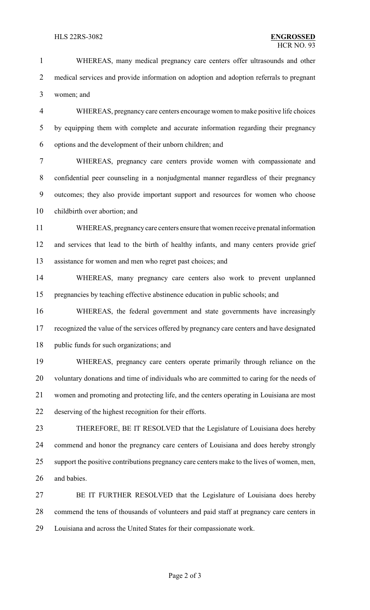WHEREAS, many medical pregnancy care centers offer ultrasounds and other medical services and provide information on adoption and adoption referrals to pregnant women; and

 WHEREAS, pregnancy care centers encourage women to make positive life choices by equipping them with complete and accurate information regarding their pregnancy options and the development of their unborn children; and

 WHEREAS, pregnancy care centers provide women with compassionate and confidential peer counseling in a nonjudgmental manner regardless of their pregnancy outcomes; they also provide important support and resources for women who choose childbirth over abortion; and

 WHEREAS, pregnancycare centers ensure that women receive prenatal information and services that lead to the birth of healthy infants, and many centers provide grief assistance for women and men who regret past choices; and

 WHEREAS, many pregnancy care centers also work to prevent unplanned pregnancies by teaching effective abstinence education in public schools; and

 WHEREAS, the federal government and state governments have increasingly recognized the value of the services offered by pregnancy care centers and have designated 18 public funds for such organizations; and

 WHEREAS, pregnancy care centers operate primarily through reliance on the voluntary donations and time of individuals who are committed to caring for the needs of women and promoting and protecting life, and the centers operating in Louisiana are most deserving of the highest recognition for their efforts.

 THEREFORE, BE IT RESOLVED that the Legislature of Louisiana does hereby commend and honor the pregnancy care centers of Louisiana and does hereby strongly support the positive contributions pregnancy care centers make to the lives of women, men, and babies.

 BE IT FURTHER RESOLVED that the Legislature of Louisiana does hereby commend the tens of thousands of volunteers and paid staff at pregnancy care centers in Louisiana and across the United States for their compassionate work.